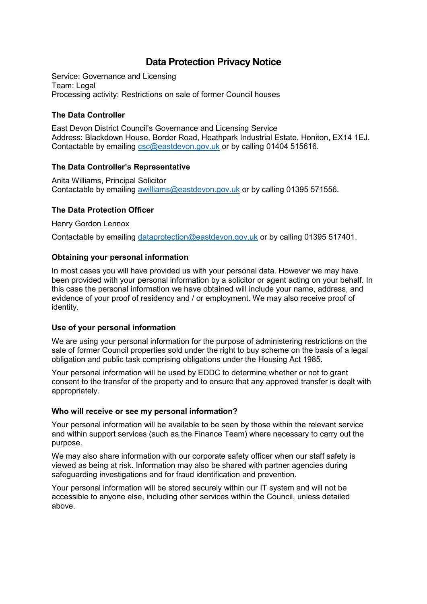# **Data Protection Privacy Notice**

Service: Governance and Licensing Team: Legal Processing activity: Restrictions on sale of former Council houses

## **The Data Controller**

East Devon District Council's Governance and Licensing Service Address: Blackdown House, Border Road, Heathpark Industrial Estate, Honiton, EX14 1EJ. Contactable by emailing [csc@eastdevon.gov.uk](mailto:csc@eastdevon.gov.uk) or by calling 01404 515616.

## **The Data Controller's Representative**

Anita Williams, Principal Solicitor Contactable by emailing [awilliams@eastdevon.gov.uk](mailto:awilliams@eastdevon.gov.uk) or by calling 01395 571556.

## **The Data Protection Officer**

Henry Gordon Lennox

Contactable by emailing [dataprotection@eastdevon.gov.uk](mailto:dataprotection@eastdevon.gov.uk) or by calling 01395 517401.

#### **Obtaining your personal information**

In most cases you will have provided us with your personal data. However we may have been provided with your personal information by a solicitor or agent acting on your behalf. In this case the personal information we have obtained will include your name, address, and evidence of your proof of residency and / or employment. We may also receive proof of identity.

#### **Use of your personal information**

We are using your personal information for the purpose of administering restrictions on the sale of former Council properties sold under the right to buy scheme on the basis of a legal obligation and public task comprising obligations under the Housing Act 1985.

Your personal information will be used by EDDC to determine whether or not to grant consent to the transfer of the property and to ensure that any approved transfer is dealt with appropriately.

#### **Who will receive or see my personal information?**

Your personal information will be available to be seen by those within the relevant service and within support services (such as the Finance Team) where necessary to carry out the purpose.

We may also share information with our corporate safety officer when our staff safety is viewed as being at risk. Information may also be shared with partner agencies during safeguarding investigations and for fraud identification and prevention.

Your personal information will be stored securely within our IT system and will not be accessible to anyone else, including other services within the Council, unless detailed above.